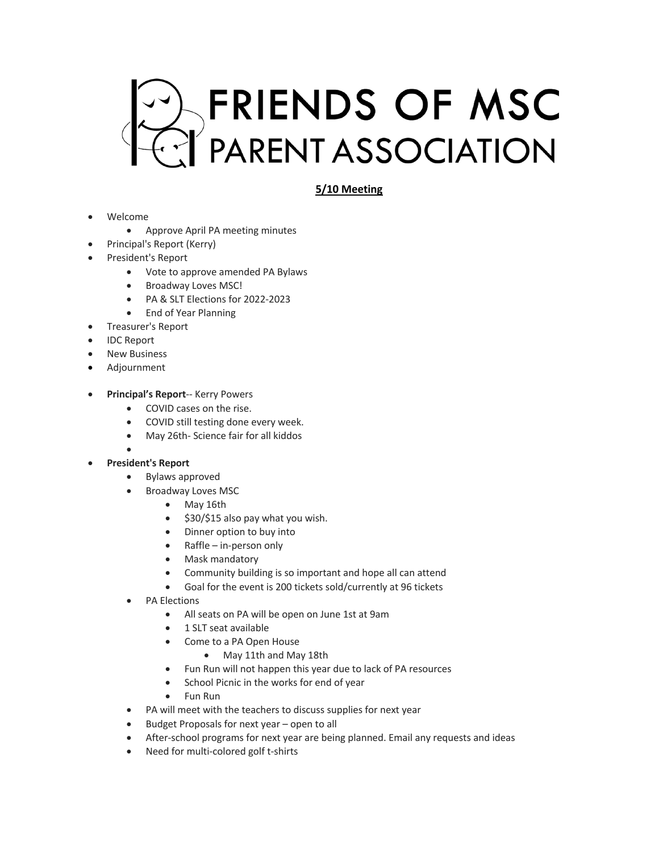

## **5/10 Meeting**

- Welcome
	- Approve April PA meeting minutes
	- Principal's Report (Kerry)
- President's Report
	- Vote to approve amended PA Bylaws
	- Broadway Loves MSC!
	- PA & SLT Elections for 2022-2023
	- End of Year Planning
- Treasurer's Report
- IDC Report
- **New Business**
- Adjournment
- **Principal's Report**-- Kerry Powers
	- COVID cases on the rise.
	- COVID still testing done every week.
	- May 26th- Science fair for all kiddos
	- •
- **President's Report**
	- Bylaws approved
	- Broadway Loves MSC
		- May 16th
		- \$30/\$15 also pay what you wish.
		- Dinner option to buy into
		- Raffle in-person only
		- Mask mandatory
		- Community building is so important and hope all can attend
		- Goal for the event is 200 tickets sold/currently at 96 tickets
	- PA Elections
		- All seats on PA will be open on June 1st at 9am
		- 1 SLT seat available
		- Come to a PA Open House
			- May 11th and May 18th
		- Fun Run will not happen this year due to lack of PA resources
		- School Picnic in the works for end of year
		- Fun Run
	- PA will meet with the teachers to discuss supplies for next year
	- Budget Proposals for next year open to all
	- After-school programs for next year are being planned. Email any requests and ideas
	- Need for multi-colored golf t-shirts